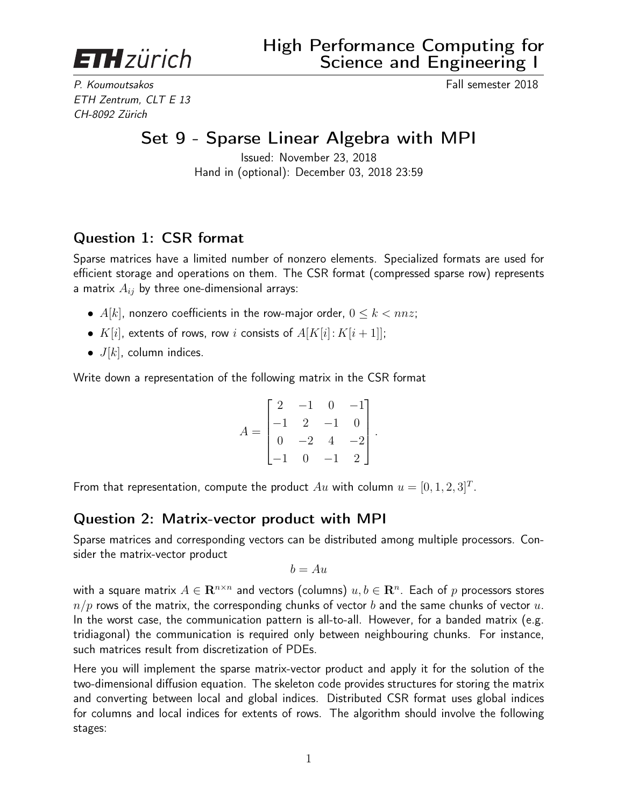**ETH**zürich

P. Koumoutsakos Fall semester 2018 ETH Zentrum, CLT E 13 CH-8092 Zürich

## Set 9 - Sparse Linear Algebra with MPI

Issued: November 23, 2018 Hand in (optional): December 03, 2018 23:59

## Question 1: CSR format

Sparse matrices have a limited number of nonzero elements. Specialized formats are used for efficient storage and operations on them. The CSR format (compressed sparse row) represents a matrix  $A_{ij}$  by three one-dimensional arrays:

- $A[k]$ , nonzero coefficients in the row-major order,  $0 \le k < nnz$ ;
- $K[i]$ , extents of rows, row i consists of  $A[K[i]: K[i+1]]$ ;
- $J[k]$ , column indices.

Write down a representation of the following matrix in the CSR format

$$
A = \begin{bmatrix} 2 & -1 & 0 & -1 \\ -1 & 2 & -1 & 0 \\ 0 & -2 & 4 & -2 \\ -1 & 0 & -1 & 2 \end{bmatrix}.
$$

From that representation, compute the product  $Au$  with column  $u = [0, 1, 2, 3]^T$ .

## Question 2: Matrix-vector product with MPI

Sparse matrices and corresponding vectors can be distributed among multiple processors. Consider the matrix-vector product

$$
b = Au
$$

with a square matrix  $A\in \mathbf{R}^{n\times n}$  and vectors (columns)  $u,b\in \mathbf{R}^n.$  Each of  $p$  processors stores  $n/p$  rows of the matrix, the corresponding chunks of vector b and the same chunks of vector  $u$ . In the worst case, the communication pattern is all-to-all. However, for a banded matrix (e.g. tridiagonal) the communication is required only between neighbouring chunks. For instance, such matrices result from discretization of PDEs.

Here you will implement the sparse matrix-vector product and apply it for the solution of the two-dimensional diffusion equation. The skeleton code provides structures for storing the matrix and converting between local and global indices. Distributed CSR format uses global indices for columns and local indices for extents of rows. The algorithm should involve the following stages: